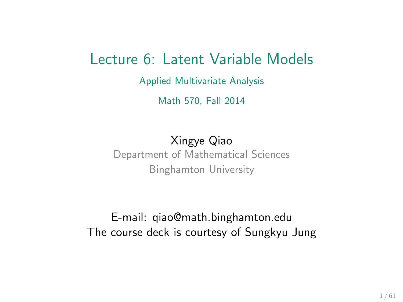#### Lecture 6: Latent Variable Models

Applied Multivariate Analysis

Math 570, Fall 2014

Xingye Qiao Department of Mathematical Sciences Binghamton University

E-mail: [qiao@math.binghamton.edu](mailto:qiao@math.binghamton.edu) The course deck is courtesy of [Sungkyu Jung](http://www.stat.pitt.edu/sungkyu/)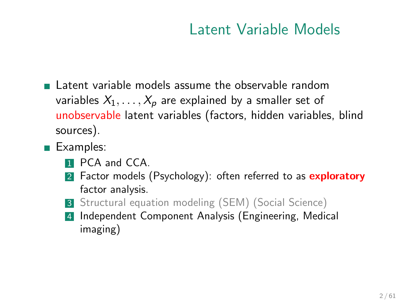#### Latent Variable Models

- $\blacksquare$  Latent variable models assume the observable random variables  $X_1, \ldots, X_p$  are explained by a smaller set of unobservable latent variables (factors, hidden variables, blind sources).
- Examples:
	- **1** PCA and CCA.
	- 2 Factor models (Psychology): often referred to as exploratory factor analysis.
	- 3 Structural equation modeling (SEM) (Social Science)
	- 4 Independent Component Analysis (Engineering, Medical imaging)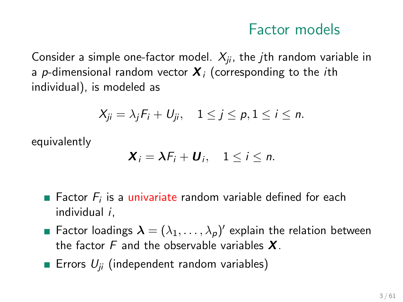Consider a simple one-factor model.  $X_{ii}$ , the *j*th random variable in a p-dimensional random vector  $X_i$  (corresponding to the *i*th individual), is modeled as

$$
X_{ji}=\lambda_jF_i+U_{ji}, \quad 1\leq j\leq p, 1\leq i\leq n.
$$

equivalently

$$
\mathbf{X}_i = \lambda F_i + \mathbf{U}_i, \quad 1 \leq i \leq n.
$$

- Factor  $F_i$  is a univariate random variable defined for each individual i,
- Factor loadings  $\boldsymbol{\lambda}=(\lambda_1,\ldots,\lambda_p)'$  explain the relation between the factor  $F$  and the observable variables  $X$ .
- **Errors**  $U_{ii}$  (independent random variables)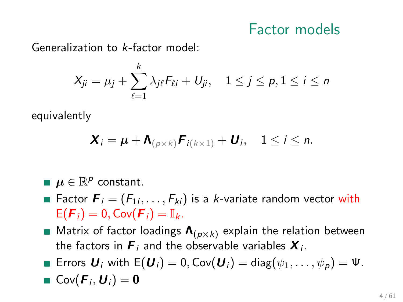Generalization to k-factor model:

$$
X_{ji} = \mu_j + \sum_{\ell=1}^k \lambda_{j\ell} F_{\ell i} + U_{ji}, \quad 1 \le j \le p, 1 \le i \le n
$$

equivalently

$$
\mathbf{X}_i = \boldsymbol{\mu} + \mathbf{\Lambda}_{(p \times k)} \boldsymbol{F}_{i(k \times 1)} + \boldsymbol{U}_i, \quad 1 \leq i \leq n.
$$

 $\boldsymbol{\mu} \in \mathbb{R}^{\boldsymbol{\rho}}$  constant.

- Factor  $\boldsymbol{F}_i=(F_{1i},\ldots,F_{ki})$  is a *k*-variate random vector with  $E(F_i) = 0$ ,  $Cov(F_i) = \mathbb{I}_k$ .
- **Matrix of factor loadings**  $\Lambda_{(p \times k)}$  **explain the relation between** the factors in  $\boldsymbol{F}_i$  and the observable variables  $\boldsymbol{X}_i.$
- Errors  $U_i$  with  $E(U_i) = 0$ , Cov $(U_i) = \text{diag}(\psi_1, \dots, \psi_p) = \Psi$ .

• 
$$
Cov(F_i, U_i) = 0
$$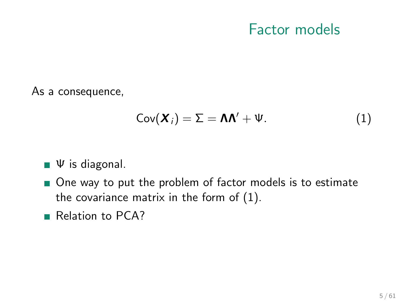As a consequence,

<span id="page-4-0"></span>
$$
Cov(\boldsymbol{X}_i) = \Sigma = \boldsymbol{\Lambda}\boldsymbol{\Lambda}' + \boldsymbol{\Psi}.\tag{1}
$$

- $\Psi$  is diagonal.
- One way to put the problem of factor models is to estimate the covariance matrix in the form of [\(1\)](#page-4-0).
- Relation to PCA?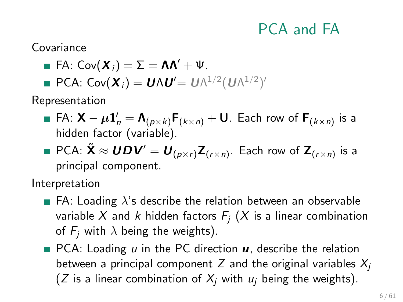## PCA and FA

Covariance

- **FA:**  $Cov(\boldsymbol{X}_i) = \Sigma = \boldsymbol{\Lambda}\boldsymbol{\Lambda}' + \boldsymbol{\Psi}$ .
- PCA: Cον $(X_i) = UNU' = UN^{1/2}(UN^{1/2})'$

Representation

- FA:  $\mathsf{X} \mu \mathbf{1}_n' = \mathsf{\Lambda}_{(p \times k)} \mathsf{F}_{(k \times n)} + \mathsf{U}$ . Each row of  $\mathsf{F}_{(k \times n)}$  is a hidden factor (variable).
- PCA:  $\tilde{\bm{\mathsf{X}}} \approx \bm{U}\bm{D}\bm{V}' = \bm{U}_{(p\times r)}\bm{Z}_{(r\times n)}.$  Each row of  $\bm{Z}_{(r\times n)}$  is a principal component.

Interpretation

- **FA:** Loading  $\lambda$ 's describe the relation between an observable variable X and k hidden factors  $F_i$  (X is a linear combination of  $F_i$  with  $\lambda$  being the weights).
- $\blacksquare$  PCA: Loading u in the PC direction  $\boldsymbol{u}$ , describe the relation between a principal component Z and the original variables  $X_i$ (Z is a linear combination of  $X_i$  with  $u_i$  being the weights).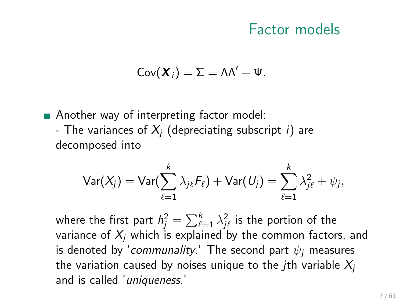$$
Cov(\boldsymbol{X}_i)=\Sigma=\Lambda\Lambda'+\Psi.
$$

**Another way of interpreting factor model:** - The variances of  $X_i$  (depreciating subscript i) are decomposed into

$$
\textsf{Var}(X_j) = \textsf{Var}(\sum_{\ell=1}^k \lambda_{j\ell} F_\ell) + \textsf{Var}(U_j) = \sum_{\ell=1}^k \lambda_{j\ell}^2 + \psi_j,
$$

where the first part  $\mathcal{h}_j^2 = \sum_{\ell=1}^k \lambda_{j\ell}^2$  is the portion of the variance of  $X_i$  which is explained by the common factors, and is denoted by 'communality.' The second part  $\psi_i$  measures the variation caused by noises unique to the *j*th variable  $X_i$ and is called 'uniqueness.'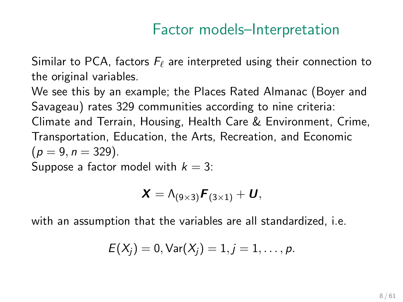#### Factor models–Interpretation

Similar to PCA, factors  $F_\ell$  are interpreted using their connection to the original variables.

We see this by an example; the Places Rated Almanac (Boyer and Savageau) rates 329 communities according to nine criteria: Climate and Terrain, Housing, Health Care & Environment, Crime, Transportation, Education, the Arts, Recreation, and Economic  $(p = 9, n = 329).$ Suppose a factor model with  $k = 3$ :

$$
\boldsymbol{X} = \boldsymbol{\Lambda}_{(9\times3)} \boldsymbol{F}_{(3\times1)} + \boldsymbol{U},
$$

with an assumption that the variables are all standardized, i.e.

$$
E(X_j) = 0
$$
,  $Var(X_j) = 1, j = 1, ..., p$ .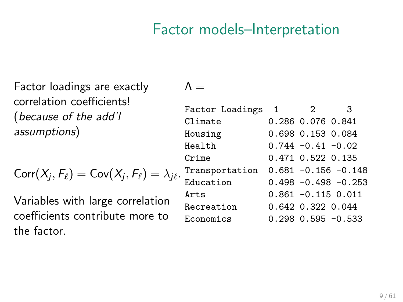#### Factor models–Interpretation

Factor loadings are exactly correlation coefficients! (because of the add'l assumptions)

$$
Corr(X_j, F_\ell) = Cov(X_j, F_\ell) = \lambda_{j\ell}.
$$

Variables with large correlation coefficients contribute more to the factor.

 $\Lambda =$ 

| Factor Loadings 1 | 2                     | 3                        |
|-------------------|-----------------------|--------------------------|
| Climate           | 0.286 0.076 0.841     |                          |
| Housing           | 0.698 0.153 0.084     |                          |
| Health            | $0.744 - 0.41 - 0.02$ |                          |
| Crime             | 0.471 0.522 0.135     |                          |
| Transportation    |                       | $0.681 - 0.156 - 0.148$  |
| Education         |                       | $0.498 - 0.498 - 0.253$  |
| Arts              |                       | $0.861 - 0.115 0.011$    |
| Recreation        | 0.642 0.322 0.044     |                          |
| Economics         |                       | $0.298$ $0.595$ $-0.533$ |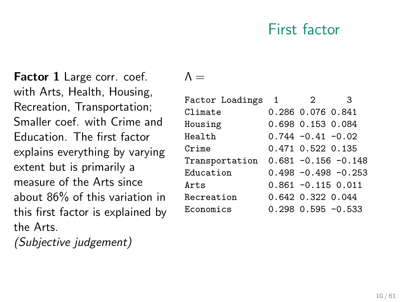#### First factor

Factor 1 Large corr. coef. with Arts, Health, Housing, Recreation, Transportation; Smaller coef. with Crime and Education. The first factor explains everything by varying extent but is primarily a measure of the Arts since about 86% of this variation in this first factor is explained by the Arts.

(Subjective judgement)

 $\Lambda =$ 

| Factor Loadings | $\overline{1}$ | 2                     | 3                        |
|-----------------|----------------|-----------------------|--------------------------|
| Climate         |                | 0.286 0.076 0.841     |                          |
| Housing         |                | 0.698 0.153 0.084     |                          |
| Health          |                | $0.744 - 0.41 - 0.02$ |                          |
| Crime           |                | 0.471 0.522 0.135     |                          |
| Transportation  |                |                       | $0.681 - 0.156 - 0.148$  |
| Education       |                |                       | $0.498 - 0.498 - 0.253$  |
| Arts            |                |                       | $0.861 - 0.115 0.011$    |
| Recreation      |                | 0.642 0.322 0.044     |                          |
| Economics       |                |                       | $0.298$ $0.595$ $-0.533$ |
|                 |                |                       |                          |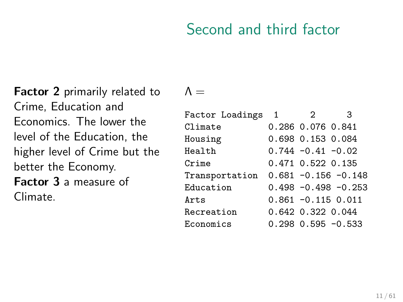### Second and third factor

Factor 2 primarily related to Crime, Education and Economics. The lower the level of the Education, the higher level of Crime but the better the Economy. Factor 3 a measure of Climate.

 $\Lambda =$ 

| Factor Loadings | -1 | $\mathcal{D}_{1}$     | 3                        |
|-----------------|----|-----------------------|--------------------------|
| Climate         |    | 0.286 0.076 0.841     |                          |
| Housing         |    | 0.698 0.153 0.084     |                          |
| Health          |    | $0.744 - 0.41 - 0.02$ |                          |
| Crime           |    | 0.471 0.522 0.135     |                          |
| Transportation  |    |                       | $0.681 - 0.156 - 0.148$  |
| Education       |    |                       | $0.498 - 0.498 - 0.253$  |
| Arts            |    |                       | $0.861 - 0.115 0.011$    |
| Recreation      |    | 0.642 0.322 0.044     |                          |
| Economics       |    |                       | $0.298$ $0.595$ $-0.533$ |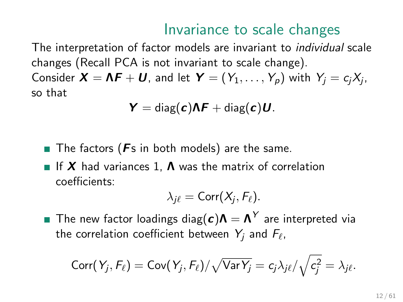#### Invariance to scale changes

The interpretation of factor models are invariant to individual scale changes (Recall PCA is not invariant to scale change). Consider  $\bm{X}=\bm{\Lambda}\bm{F}+\bm{U}$ , and let  $\bm{Y}=(Y_1,\ldots,Y_p)$  with  $Y_j=c_jX_j,$ so that

$$
Y = \text{diag}(c)\Lambda F + \text{diag}(c)U.
$$

- The factors ( $Fs$  in both models) are the same.
- If X had variances 1,  $\Lambda$  was the matrix of correlation coefficients:

$$
\lambda_{j\ell}=\mathrm{Corr}(X_j,F_\ell).
$$

The new factor loadings diag $(\boldsymbol{c})\boldsymbol{\Lambda}=\boldsymbol{\Lambda}^{\mathcal{Y}}$  are interpreted via the correlation coefficient between  $\,Y_j$  and  $F_\ell$ ,

$$
\text{Corr}(Y_j, F_\ell) = \text{Cov}(Y_j, F_\ell) / \sqrt{\text{Var} Y_j} = c_j \lambda_{j\ell} / \sqrt{c_j^2} = \lambda_{j\ell}.
$$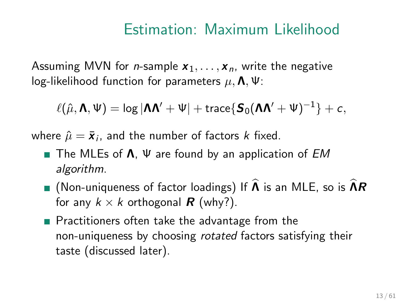#### Estimation: Maximum Likelihood

Assuming MVN for *n*-sample  $x_1, \ldots, x_n$ , write the negative log-likelihood function for parameters  $\mu$ ,  $\Lambda$ ,  $\Psi$ :

$$
\ell(\hat{\mu},\boldsymbol{\Lambda},\boldsymbol{\Psi})=\log|\boldsymbol{\Lambda}\boldsymbol{\Lambda}'+\boldsymbol{\Psi}|+\text{trace}\{\boldsymbol{S}_0(\boldsymbol{\Lambda}\boldsymbol{\Lambda}'+\boldsymbol{\Psi})^{-1}\}+c,
$$

where  $\hat{\mu} = \bar{\pmb{x}}_i$ , and the number of factors  $k$  fixed.

- The MLEs of  $\Lambda$ ,  $\Psi$  are found by an application of EM algorithm.
- **I** (Non-uniqueness of factor loadings) If  $\widehat{A}$  is an MLE, so is  $\widehat{A}R$ for any  $k \times k$  orthogonal **R** (why?).
- **Practitioners often take the advantage from the** non-uniqueness by choosing rotated factors satisfying their taste (discussed later).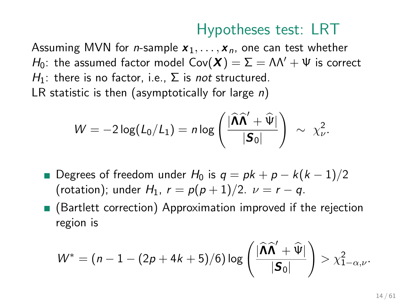## Hypotheses test: LRT

Assuming MVN for *n*-sample  $x_1, \ldots, x_n$ , one can test whether H<sub>0</sub>: the assumed factor model Cov( $\mathbf{X}$ ) =  $\Sigma = \Lambda \Lambda' + \Psi$  is correct H<sub>1</sub>: there is no factor, i.e.,  $\Sigma$  is not structured. LR statistic is then (asymptotically for large  $n$ )

$$
W = -2\log(L_0/L_1) = n\log\left(\frac{|\widehat{\mathbf{\Lambda}}\widehat{\mathbf{\Lambda}}' + \widehat{\mathbf{\Psi}}|}{|\mathbf{S}_0|}\right) \sim \chi^2_{\nu}.
$$

- Degrees of freedom under  $H_0$  is  $q = pk + p k(k-1)/2$ (rotation); under  $H_1$ ,  $r = p(p+1)/2$ .  $\nu = r - q$ .
- (Bartlett correction) Approximation improved if the rejection region is

$$
W^* = (n-1-(2p+4k+5)/6)\log\left(\frac{|\widehat{\mathbf{\Lambda}}\widehat{\mathbf{\Lambda}}'+\widehat{\mathbf{\Psi}}|}{|\mathbf{\mathbf{S}}_0|}\right) > \chi^2_{1-\alpha,\nu}.
$$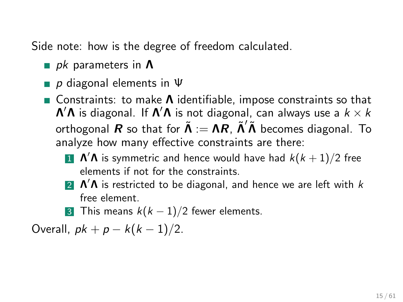Side note: how is the degree of freedom calculated.

- pk parameters in  $\Lambda$
- p diagonal elements in  $\Psi$
- Constraints: to make  $\Lambda$  identifiable, impose constraints so that  $\bm{\Lambda}'\bm{\Lambda}$  is diagonal. If  $\bm{\Lambda}'\bm{\Lambda}$  is not diagonal, can always use a  $k\times k$ orthogonal  $R$  so that for  $\tilde{\Lambda} := \Lambda R$ ,  $\tilde{\Lambda}' \tilde{\Lambda}$  becomes diagonal. To analyze how many effective constraints are there:
	- $\blacksquare$   $\mathsf{\Lambda}'\mathsf{\Lambda}$  is symmetric and hence would have had  $k(k+1)/2$  free elements if not for the constraints.
	- 2  $\Lambda'$  A is restricted to be diagonal, and hence we are left with  $k$ free element.
	- 3 This means  $k(k-1)/2$  fewer elements.

Overall,  $pk + p - k(k - 1)/2$ .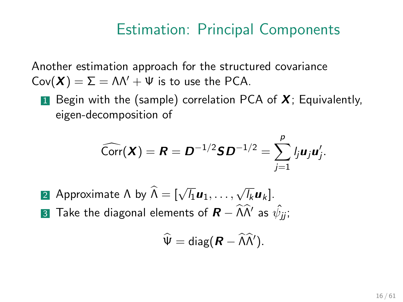#### Estimation: Principal Components

Another estimation approach for the structured covariance  $Cov(\mathbf{X}) = \Sigma = \Lambda \Lambda' + \Psi$  is to use the PCA.

**1** Begin with the (sample) correlation PCA of  $X$ ; Equivalently, eigen-decomposition of

$$
\widehat{\text{Corr}}(\bm{X}) = \bm{R} = \bm{D}^{-1/2} \bm{S} \bm{D}^{-1/2} = \sum_{j=1}^p l_j \bm{u}_j \bm{u}_j'.
$$

- 2 Approximate  $Λ$  by  $Λ = [$  $\sqrt{l_1}u_1,\ldots,\sqrt{l_k}u_k].$
- $\bf$ 3 Take the diagonal elements of  $\bm{R}-\widehat{\bm{\Lambda}}\widehat{\bm{\Lambda}}'$  as  $\hat{\psi}_{jj};$

$$
\widehat{\Psi} = \text{diag}(\boldsymbol{R} - \widehat{\boldsymbol{\Lambda}} \widehat{\boldsymbol{\Lambda}}').
$$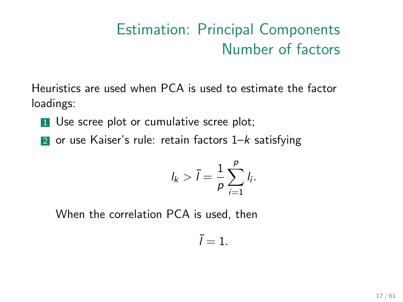# Estimation: Principal Components Number of factors

Heuristics are used when PCA is used to estimate the factor loadings:

- **1** Use scree plot or cumulative scree plot;
- 2 or use Kaiser's rule: retain factors  $1-k$  satisfying

$$
l_k > \bar{l} = \frac{1}{p} \sum_{i=1}^p l_i.
$$

When the correlation PCA is used, then

$$
\bar{l}=1.
$$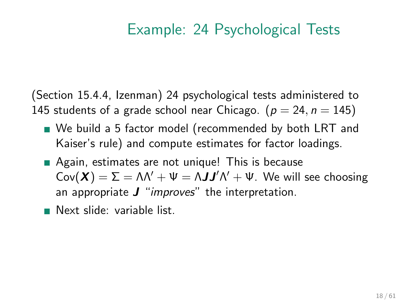## Example: 24 Psychological Tests

(Section 15.4.4, Izenman) 24 psychological tests administered to 145 students of a grade school near Chicago. ( $p = 24$ ,  $n = 145$ )

- We build a 5 factor model (recommended by both LRT and Kaiser's rule) and compute estimates for factor loadings.
- Again, estimates are not unique! This is because  $Cov(\mathbf{X}) = \Sigma = \Lambda \Lambda' + \Psi = \Lambda \mathbf{J} \mathbf{J}' \Lambda' + \Psi$ . We will see choosing an appropriate  $J$  "*improves*" the interpretation.
- Next slide: variable list.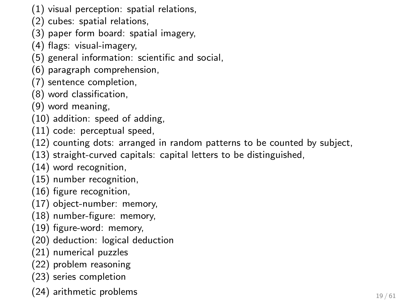- (1) visual perception: spatial relations,
- (2) cubes: spatial relations,
- (3) paper form board: spatial imagery,
- (4) flags: visual-imagery,
- (5) general information: scientific and social,
- (6) paragraph comprehension,
- (7) sentence completion,
- (8) word classification,
- (9) word meaning,
- (10) addition: speed of adding,
- (11) code: perceptual speed,
- (12) counting dots: arranged in random patterns to be counted by subject,
- (13) straight-curved capitals: capital letters to be distinguished,
- (14) word recognition,
- (15) number recognition,
- (16) figure recognition,
- (17) object-number: memory,
- (18) number-figure: memory,
- (19) figure-word: memory,
- (20) deduction: logical deduction
- (21) numerical puzzles
- (22) problem reasoning
- (23) series completion
- $(24)$  arithmetic problems  $_{19/61}$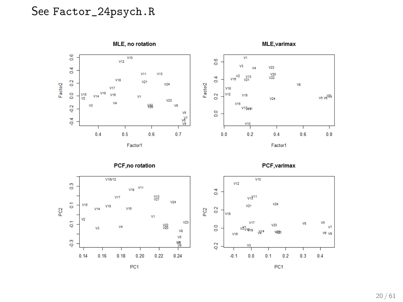#### See Factor\_24psych.R

MLE, no rotation **MLE, varimax**  $\frac{6}{10}$  $\overline{V10}$  $\overline{VI}$  $V12$  $\frac{6}{2}$  $V3$  $V23$  $\frac{4}{5}$ Ŵ.  $\frac{V20}{V22}$  $V11$  $V13$  $\frac{V^2}{V10}$  $\overline{a}$  $\frac{V13}{V21}$  $\overline{0}$  $V18$  $V<sub>21</sub>$ Factor2 Factor<sub>2</sub>  $V24$ vs  $V17$ VIR  $\frac{1}{2}$ V<sub>19</sub> **V12**  $\frac{V15}{V2}$ V16  $\overline{a}$  $V19$ vs ve<sup>VVs</sup>  $V14$ **Vt**  $v<sub>24</sub>$  $v_{23}$  $V<sub>4</sub>$  $V<sub>28</sub>$ **V15**  $\frac{2}{9}$ V<sub>3</sub> **VS** Villagen **g**  $V<sub>5</sub>$  $\overline{Q}$ w  $\frac{V10}{I}$  $0.4$  $0.5$  $0.6$  $0.7$  $0.2$  $0.4$  $0.6$  $0.8$  $0.0$ Factor1 Factor1

PCF, no rotation





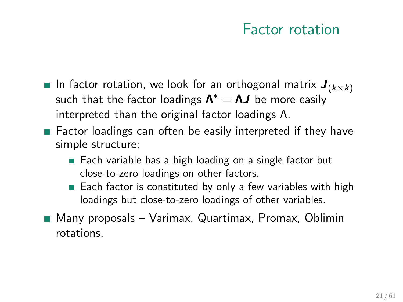#### Factor rotation

- **Iomorphic in factor rotation, we look for an orthogonal matrix**  $J_{(k\times k)}$ such that the factor loadings  $\bm{\Lambda}^*=\bm{\Lambda} \bm{J}$  be more easily interpreted than the original factor loadings Λ.
- Factor loadings can often be easily interpreted if they have simple structure;
	- Each variable has a high loading on a single factor but close-to-zero loadings on other factors.
	- $\blacksquare$  Each factor is constituted by only a few variables with high loadings but close-to-zero loadings of other variables.
- Many proposals Varimax, Quartimax, Promax, Oblimin rotations.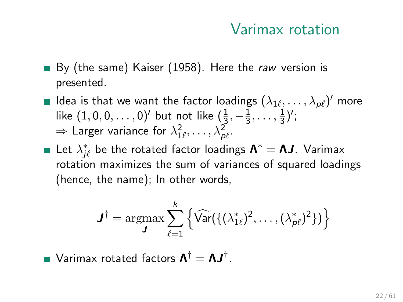#### Varimax rotation

- By (the same) Kaiser (1958). Here the raw version is presented.
- Idea is that we want the factor loadings  $(\lambda_{1\ell},\ldots,\lambda_{p\ell})'$  more like  $(1,0,0,\ldots,0)'$  but not like  $(\frac{1}{3},-\frac{1}{3})$  $\frac{1}{3}, \ldots, \frac{1}{3}$  $\frac{1}{3}$ )';  $\Rightarrow$  Larger variance for  $\lambda^2_{1\ell}, \ldots, \lambda^2_{\rho\ell}.$
- Let  $\lambda^*_{j\ell}$  be the rotated factor loadings  $\bm{\Lambda}^*=\bm{\Lambda} \bm{J}$ . Varimax rotation maximizes the sum of variances of squared loadings (hence, the name); In other words,

$$
\boldsymbol{J}^{\dagger} = \operatorname*{argmax}_{\boldsymbol{J}} \sum_{\ell=1}^{k} \left\{ \widehat{\text{Var}}\left( \{ (\lambda_{1\ell}^{*})^2, \ldots, (\lambda_{p\ell}^{*})^2 \} \right) \right\}
$$

Varimax rotated factors  $\bm{\Lambda}^\dagger = \bm{\Lambda} \bm{J}^\dagger.$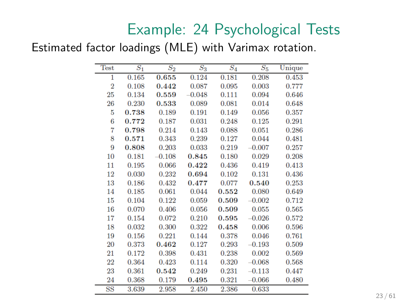## Example: 24 Psychological Tests

#### Estimated factor loadings (MLE) with Varimax rotation.

| <b>Test</b>    | $\overline{S_1}$ | $\overline{S_2}$ | $S_3$    | $\overline{S_4}$ | $S_5$    | Unique |
|----------------|------------------|------------------|----------|------------------|----------|--------|
| $\mathbf{1}$   | 0.165            | 0.655            | 0.124    | 0.181            | 0.208    | 0.453  |
| $\overline{2}$ | 0.108            | 0.442            | 0.087    | 0.095            | 0.003    | 0.777  |
| 25             | 0.134            | 0.559            | $-0.048$ | 0.111            | 0.094    | 0.646  |
| 26             | 0.230            | 0.533            | 0.089    | 0.081            | 0.014    | 0.648  |
| 5              | 0.738            | 0.189            | 0.191    | 0.149            | 0.056    | 0.357  |
| 6              | 0.772            | 0.187            | 0.031    | 0.248            | 0.125    | 0.291  |
| 7              | 0.798            | 0.214            | 0.143    | 0.088            | 0.051    | 0.286  |
| 8              | 0.571            | 0.343            | 0.239    | 0.127            | 0.044    | 0.481  |
| 9              | 0.808            | 0.203            | 0.033    | 0.219            | $-0.007$ | 0.257  |
| 10             | 0.181            | 0.108            | 0.845    | 0.180            | 0.029    | 0.208  |
| 11             | 0.195            | 0.066            | 0.422    | 0.436            | 0.419    | 0.413  |
| 12             | 0.030            | 0.232            | 0.694    | 0.102            | 0.131    | 0.436  |
| 13             | 0.186            | 0.432            | 0.477    | 0.077            | 0.540    | 0.253  |
| 14             | 0.185            | 0.061            | 0.044    | 0.552            | 0.080    | 0.649  |
| 15             | 0.104            | 0.122            | 0.059    | 0.509            | $-0.002$ | 0.712  |
| 16             | 0.070            | 0.406            | 0.056    | 0.509            | 0.055    | 0.565  |
| 17             | 0.154            | 0.072            | 0.210    | 0.595            | $-0.026$ | 0.572  |
| 18             | 0.032            | 0.300            | 0.322    | 0.458            | 0.006    | 0.596  |
| 19             | 0.156            | 0.221            | 0.144    | 0.378            | 0.046    | 0.761  |
| 20             | 0.373            | 0.462            | 0.127    | 0.293            | $-0.193$ | 0.509  |
| 21             | 0.172            | 0.398            | 0.431    | 0.238            | 0.002    | 0.569  |
| 22             | 0.364            | 0.423            | 0.114    | 0.320            | $-0.068$ | 0.568  |
| 23             | 0.361            | 0.542            | 0.249    | 0.231            | $-0.113$ | 0.447  |
| 24             | 0.368            | 0.179            | 0.495    | 0.321            | $-0.066$ | 0.480  |
| $_{\rm SS}$    | 3.639            | 2.958            | 2.450    | 2.386            | 0.633    |        |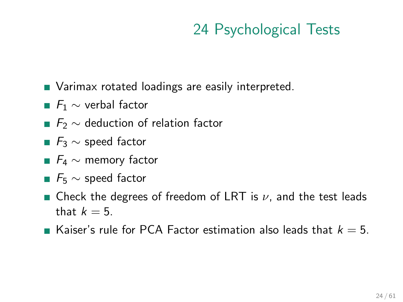## 24 Psychological Tests

- **Narimax rotated loadings are easily interpreted.**
- $F_1 \sim$  verbal factor
- $F_2 \sim$  deduction of relation factor
- $F_3$   $\sim$  speed factor
- $F_4 \sim$  memory factor
- $F_5 \sim$  speed factor
- **E** Check the degrees of freedom of LRT is  $\nu$ , and the test leads that  $k = 5$ .
- Kaiser's rule for PCA Factor estimation also leads that  $k = 5$ .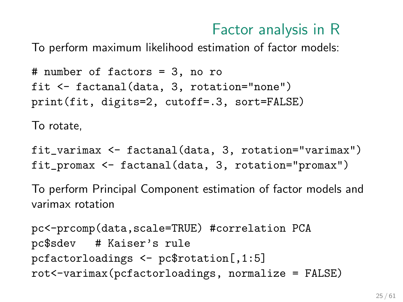## Factor analysis in R

To perform maximum likelihood estimation of factor models:

```
# number of factors = 3, no ro
fit <- factanal(data, 3, rotation="none")
print(fit, digits=2, cutoff=.3, sort=FALSE)
```
To rotate,

fit\_varimax <- factanal(data, 3, rotation="varimax") fit\_promax <- factanal(data, 3, rotation="promax")

To perform Principal Component estimation of factor models and varimax rotation

pc<-prcomp(data,scale=TRUE) #correlation PCA pc\$sdev # Kaiser's rule pcfactorloadings <- pc\$rotation[,1:5] rot<-varimax(pcfactorloadings, normalize = FALSE)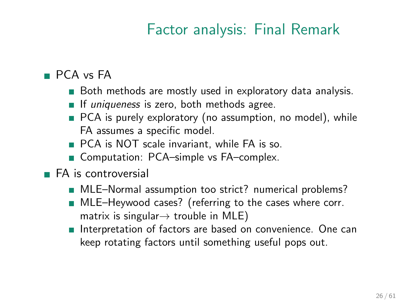## Factor analysis: Final Remark

#### ■ PCA vs FA

- Both methods are mostly used in exploratory data analysis.
- If uniqueness is zero, both methods agree.
- **PCA** is purely exploratory (no assumption, no model), while FA assumes a specific model.
- **PCA** is NOT scale invariant, while FA is so.
- Computation: PCA–simple vs FA–complex.
- **FA** is controversial
	- MLE–Normal assumption too strict? numerical problems?
	- MLE–Heywood cases? (referring to the cases where corr. matrix is singular $\rightarrow$  trouble in MLE)
	- Interpretation of factors are based on convenience. One can keep rotating factors until something useful pops out.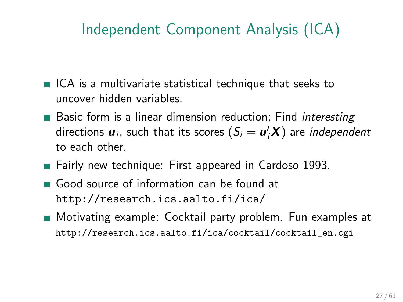# Independent Component Analysis (ICA)

- $\blacksquare$  ICA is a multivariate statistical technique that seeks to uncover hidden variables.
- **Basic form is a linear dimension reduction; Find interesting** directions  $\boldsymbol{u}_i$ , such that its scores  $(S_i = \boldsymbol{u}_i' \boldsymbol{X})$  are *independent* to each other.
- **Fairly new technique: First appeared in Cardoso 1993.**
- Good source of information can be found at <http://research.ics.aalto.fi/ica/>
- **Motivating example: Cocktail party problem. Fun examples at** [http://research.ics.aalto.fi/ica/cocktail/cocktail\\_en.cgi](http://research.ics.aalto.fi/ica/cocktail/cocktail_en.cgi)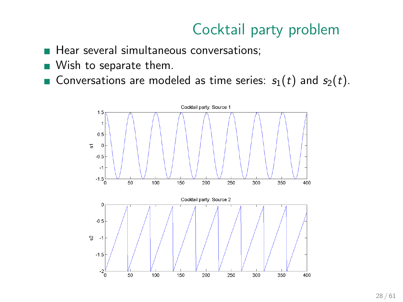- Hear several simultaneous conversations;
- **Wish to separate them.**
- **Conversations are modeled as time series:**  $s_1(t)$  and  $s_2(t)$ .

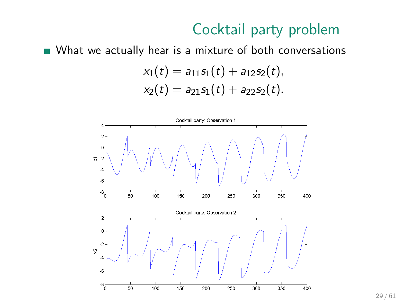What we actually hear is a mixture of both conversations

$$
x_1(t) = a_{11}s_1(t) + a_{12}s_2(t),
$$
  

$$
x_2(t) = a_{21}s_1(t) + a_{22}s_2(t).
$$

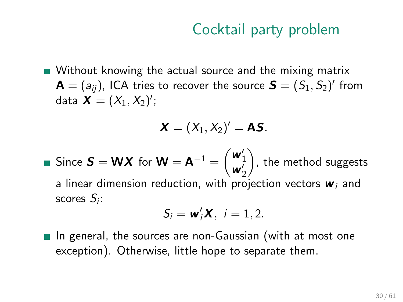Without knowing the actual source and the mixing matrix  $\mathbf{A}=(a_{ij})$ , ICA tries to recover the source  $\boldsymbol{S}=(S_1,S_2)'$  from data  $X = (X_1, X_2)$ ';

$$
\boldsymbol{X}=(X_1,X_2)'=\boldsymbol{A}\boldsymbol{S}.
$$

Since  $S = WX$  for  $W = A^{-1} = \begin{pmatrix} w'_1 \\ w'_2 \end{pmatrix}$  $\big)$ , the method suggests a linear dimension reduction, with projection vectors  $w_i$  and scores  $S_i$ :

$$
S_i = \mathbf{w}_i^{\prime} \mathbf{X}, i = 1, 2.
$$

 $\blacksquare$  In general, the sources are non-Gaussian (with at most one exception). Otherwise, little hope to separate them.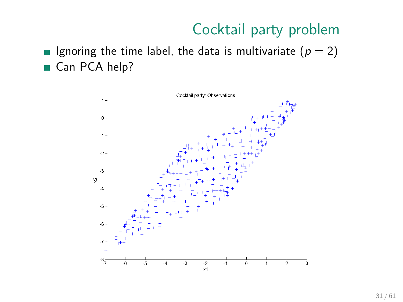Ignoring the time label, the data is multivariate  $(p = 2)$ Can PCA help?

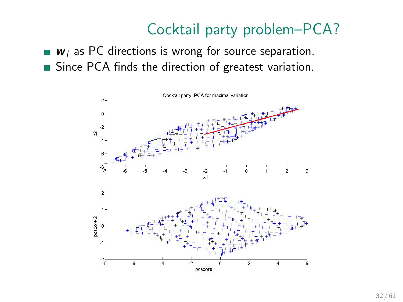## Cocktail party problem–PCA?

- $\bullet$   $w_i$  as PC directions is wrong for source separation.
- Since PCA finds the direction of greatest variation.

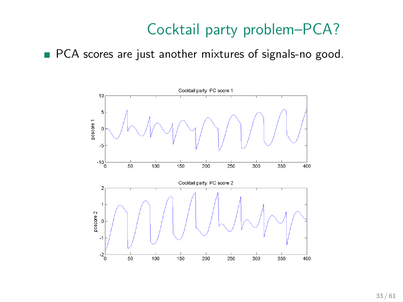## Cocktail party problem–PCA?

**PCA** scores are just another mixtures of signals-no good.

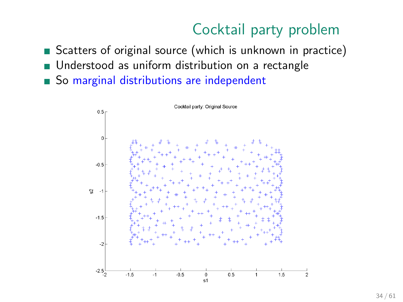- Scatters of original source (which is unknown in practice)
- **Understood as uniform distribution on a rectangle**
- So marginal distributions are independent

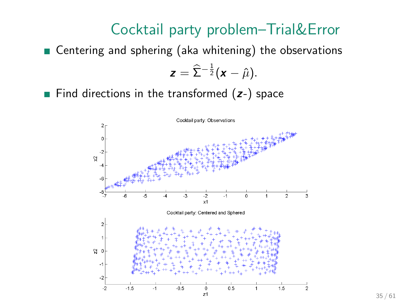#### Cocktail party problem–Trial&Error

■ Centering and sphering (aka whitening) the observations

$$
z=\widehat{\Sigma}^{-\frac{1}{2}}(x-\hat{\mu}).
$$

Find directions in the transformed  $(z-)$  space



35 / 61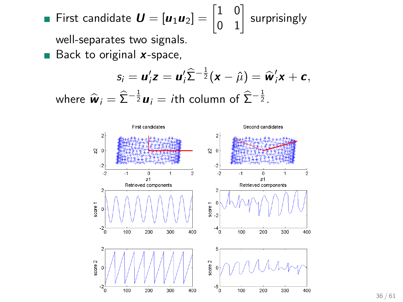• First candidate 
$$
U = [u_1 u_2] = \begin{bmatrix} 1 & 0 \\ 0 & 1 \end{bmatrix}
$$
 surprisingly  
well constructs two simple

well-separates two signals.

 $\blacksquare$  Back to original x-space,

$$
s_i = \mathbf{u}_i' \mathbf{z} = \mathbf{u}_i' \widehat{\Sigma}^{-\frac{1}{2}} (\mathbf{x} - \widehat{\mu}) = \widehat{\mathbf{w}}_i' \mathbf{x} + \mathbf{c},
$$
  
where  $\widehat{\mathbf{w}}_i = \widehat{\Sigma}^{-\frac{1}{2}} \mathbf{u}_i = i\text{th column of } \widehat{\Sigma}^{-\frac{1}{2}}.$ 

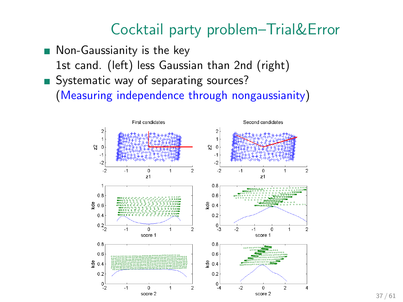## Cocktail party problem–Trial&Error

- Non-Gaussianity is the key 1st cand. (left) less Gaussian than 2nd (right)
- Systematic way of separating sources? (Measuring independence through nongaussianity)

First candidates Second candidates  $\overline{a}$  $\overline{\mathbf{c}}$  $\mathbf{A}$  $\overline{1}$  $\Omega = 0$  $\mathbb{S}^1$  0  $-1$  $-4$ -2 -2  $\overline{2}$  $-1$  $\theta$  $\overline{2}$  $-2$  $\mathbf{A}$ ó  $\overline{a}$  $\overline{1}$  $21$  $21$  $0.8$  $0.8$  $0.6$  $\frac{0}{2}0.6$  $80.4$  $0.4$  $0.2$  $0\frac{1}{3}$  $0.2\frac{1}{2}$ 5 5 5  $-1$  $\Omega$ ł. × ò score 1 score 1  $0.8$  $0.8$  $0.6$  $06$  $\frac{6}{9}$  0.4  $90.4$  $0.2$  $0.2$  $^{0}$ <sub>-2</sub>  $^{0}_{-4}$  $\mathbf{r}$  $\Omega$  $\overline{1}$  $\overline{2}$  $-2$ n.  $\overline{2}$ score 2 score 2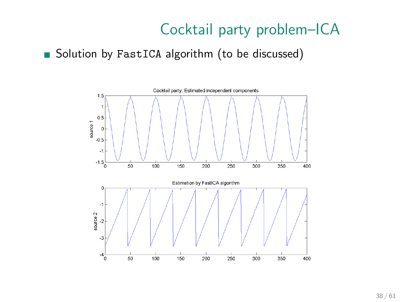Solution by FastICA algorithm (to be discussed)

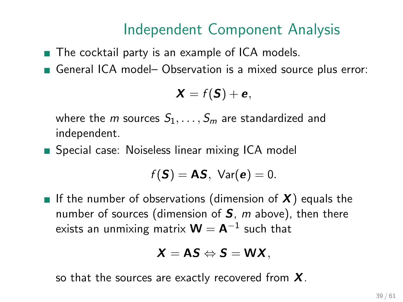## Independent Component Analysis

■ The cocktail party is an example of ICA models.

General ICA model- Observation is a mixed source plus error:

$$
X = f(S) + e,
$$

where the *m* sources  $S_1, \ldots, S_m$  are standardized and independent.

**Special case: Noiseless linear mixing ICA model** 

$$
f(\mathbf{S}) = \mathbf{AS}, \ \text{Var}(\mathbf{e}) = 0.
$$

If the number of observations (dimension of  $X$ ) equals the number of sources (dimension of  $S$ , m above), then there exists an unmixing matrix  $\mathbf{W} = \mathbf{A}^{-1}$  such that

$$
X=AS \Leftrightarrow S=WX,
$$

so that the sources are exactly recovered from  $X$ .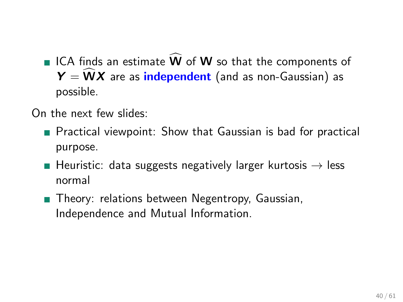ICA finds an estimate  $\dot{W}$  of W so that the components of  $Y = WX$  are as *independent* (and as non-Gaussian) as possible.

On the next few slides:

- **Practical viewpoint: Show that Gaussian is bad for practical** purpose.
- **Heuristic:** data suggests negatively larger kurtosis  $\rightarrow$  less normal
- **Theory: relations between Negentropy, Gaussian,** Independence and Mutual Information.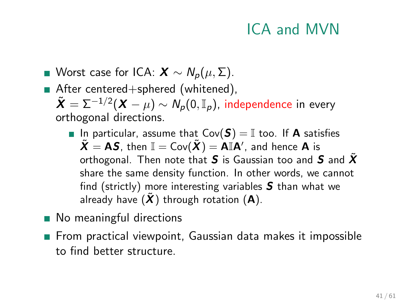## ICA and MVN

- Worst case for ICA:  $X \sim N_p(\mu, \Sigma)$ .
- After centered+sphered (whitened),  $\tilde{\bm{X}} = \Sigma^{-1/2}(\bm{X} - \mu) \sim \mathcal{N}_\mathcal{P}(0,\mathbb{I}_\mathcal{P})$ , independence in every orthogonal directions.
	- In particular, assume that  $Cov(S) = \mathbb{I}$  too. If A satisfies  $\tilde{\bm{X}} = \bm{\mathsf{AS}}$ , then  $\mathbb{I} = \mathsf{Cov}(\tilde{\bm{X}}) = \dot{\bm{\mathsf{AI}}} \bm{\mathsf{A}}'$ , and hence  $\bm{\mathsf{A}}$  is orthogonal. Then note that S is Gaussian too and S and  $\tilde{X}$ share the same density function. In other words, we cannot find (strictly) more interesting variables  $S$  than what we already have  $(\tilde{X})$  through rotation  $(A)$ .
- No meaningful directions
- From practical viewpoint, Gaussian data makes it impossible to find better structure.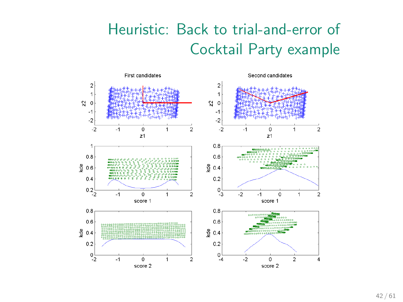# Heuristic: Back to trial-and-error of Cocktail Party example

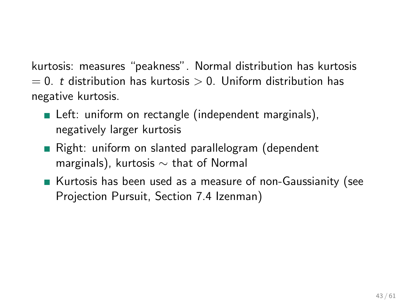kurtosis: measures "peakness". Normal distribution has kurtosis  $= 0.$  t distribution has kurtosis  $> 0.$  Uniform distribution has negative kurtosis.

- Left: uniform on rectangle (independent marginals), negatively larger kurtosis
- Right: uniform on slanted parallelogram (dependent marginals), kurtosis  $\sim$  that of Normal
- Kurtosis has been used as a measure of non-Gaussianity (see Projection Pursuit, Section 7.4 Izenman)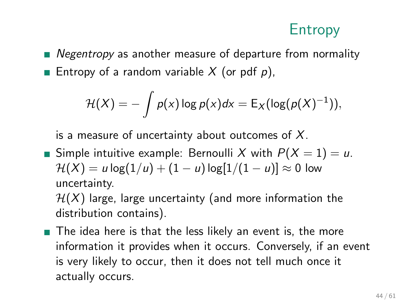## Entropy

■ Negentropy as another measure of departure from normality **Entropy of a random variable X** (or pdf p),

$$
\mathcal{H}(X) = -\int p(x) \log p(x) dx = \mathsf{E}_X(\log(p(X)^{-1})),
$$

is a measure of uncertainty about outcomes of  $X$ .

Simple intuitive example: Bernoulli X with  $P(X = 1) = u$ .  $\mathcal{H}(X) = u \log(1/u) + (1 - u) \log[1/(1 - u)] \approx 0$  low uncertainty.

 $H(X)$  large, large uncertainty (and more information the distribution contains).

■ The idea here is that the less likely an event is, the more information it provides when it occurs. Conversely, if an event is very likely to occur, then it does not tell much once it actually occurs.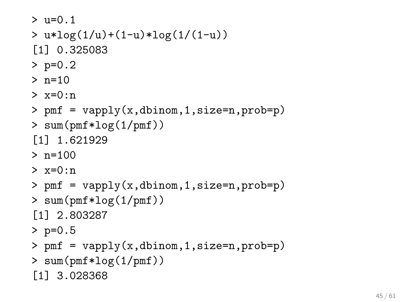```
> 11 = 0.1> u*log(1/u)+(1-u)*log(1/(1-u))
[1] 0.325083
> p=0.2
> n=10> x=0:n
> pmf = vapply(x,dbinom,1,size=n,prob=p)
> sum(pmf*log(1/pmf))
[1] 1.621929
> n=100> x=0:n> pmf = vapply(x,dbinom,1,size=n,prob=p)
> sum(pmf*log(1/pmf))
[1] 2.803287
> p=0.5
> pmf = vapply(x,dbinom,1,size=n,prob=p)
> sum(pmf*log(1/pmf))
[1] 3.028368
```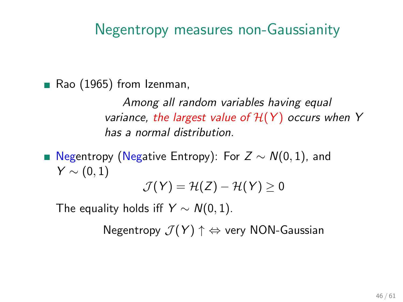## Negentropy measures non-Gaussianity

Rao (1965) from Izenman,

Among all random variables having equal variance, the largest value of  $H(Y)$  occurs when Y has a normal distribution.

■ Negentropy (Negative Entropy): For  $Z \sim N(0, 1)$ , and  $Y \sim (0, 1)$ 

 $\mathcal{J}(Y) = \mathcal{H}(Z) - \mathcal{H}(Y) > 0$ 

The equality holds iff  $Y \sim N(0, 1)$ .

Negentropy  $\mathcal{J}(Y) \uparrow \Leftrightarrow$  very NON-Gaussian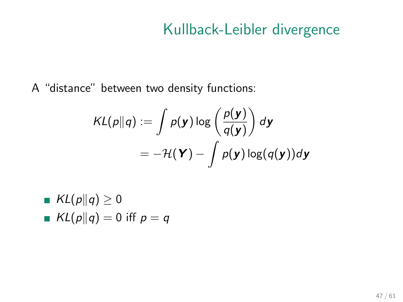## Kullback-Leibler divergence

A "distance" between two density functions:

$$
KL(p||q) := \int p(\mathbf{y}) \log \left(\frac{p(\mathbf{y})}{q(\mathbf{y})}\right) d\mathbf{y}
$$
  
= 
$$
-\mathcal{H}(\mathbf{Y}) - \int p(\mathbf{y}) \log(q(\mathbf{y})) d\mathbf{y}
$$

\n- $$
KL(p||q) \geq 0
$$
\n- $KL(p||q) = 0$  iff  $p = q$
\n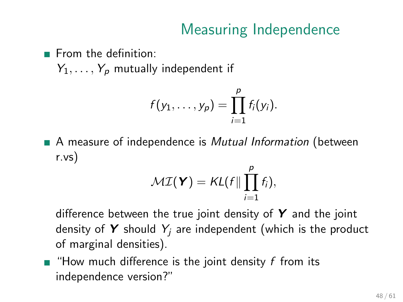## Measuring Independence

 $\blacksquare$  From the definition:

 $Y_1, \ldots, Y_p$  mutually independent if

$$
f(y_1,\ldots,y_p)=\prod_{i=1}^p f_i(y_i).
$$

A measure of independence is *Mutual Information* (between r.vs)

$$
\mathcal{MI}(\mathbf{Y}) = \mathcal{KL}(f \Vert \prod_{i=1}^p f_i),
$$

difference between the true joint density of  $Y$  and the joint density of Y should  $Y_i$  are independent (which is the product of marginal densities).

 $\blacksquare$  "How much difference is the joint density f from its independence version?"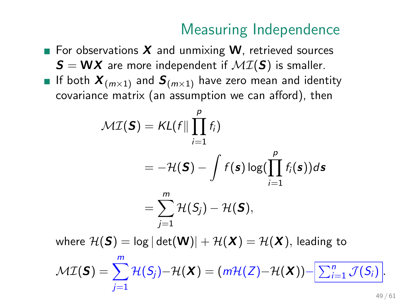## Measuring Independence

For observations  $X$  and unmixing W, retrieved sources  $S = WX$  are more independent if  $MI(S)$  is smaller. If both  $X_{(m\times1)}$  and  $S_{(m\times1)}$  have zero mean and identity covariance matrix (an assumption we can afford), then

$$
\mathcal{MI}(\mathbf{S}) = \mathcal{KL}(f \mid \prod_{i=1}^{p} f_i)
$$
  
\n
$$
= -\mathcal{H}(\mathbf{S}) - \int f(\mathbf{s}) \log(\prod_{i=1}^{p} f_i(\mathbf{s})) d\mathbf{s}
$$
  
\n
$$
= \sum_{j=1}^{m} \mathcal{H}(S_j) - \mathcal{H}(\mathbf{S}),
$$
  
\nwhere  $\mathcal{H}(\mathbf{S}) = \log |\det(\mathbf{W})| + \mathcal{H}(\mathbf{X}) = \mathcal{H}(\mathbf{X}),$  leading to  
\n
$$
\mathcal{MI}(\mathbf{S}) = \sum_{j=1}^{m} \mathcal{H}(S_j) - \mathcal{H}(\mathbf{X}) = (m\mathcal{H}(Z) - \mathcal{H}(\mathbf{X})) - \sum_{i=1}^{n} \mathcal{J}(S_i).
$$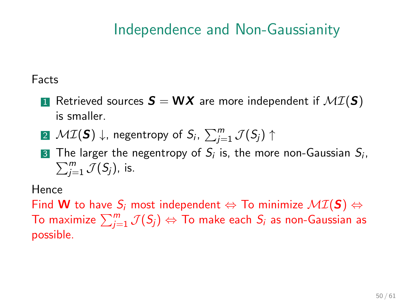## Independence and Non-Gaussianity

#### Facts

- **1** Retrieved sources  $S = WX$  are more independent if  $MI(S)$ is smaller.
- $\mathbf{2}$   $\mathcal{MI}(\boldsymbol{S})$   $\downarrow$ , negentropy of  $S_i$ ,  $\sum_{j=1}^m \mathcal{J}(S_j)$   $\uparrow$
- **3** The larger the negentropy of  $S_i$  is, the more non-Gaussian  $S_i$ ,  $\sum_{i=1}^{m} \mathcal{J}(S_i)$ , is.  $_{j=1}^m$   $\mathcal{J}(S_j)$ , is.

Hence

Find W to have  $S_i$  most independent  $\Leftrightarrow$  To minimize  $\mathcal{MI}(S) \Leftrightarrow$ To maximize  $\sum_{j=1}^m \mathcal{J}(S_j) \Leftrightarrow$  To make each  $S_i$  as non-Gaussian as possible.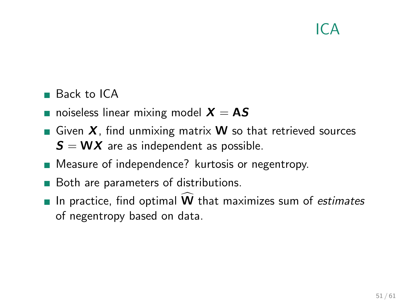## $ICA$

#### ■ Back to ICA

- **noiseless linear mixing model**  $X = AS$
- Given  $X$ , find unmixing matrix **W** so that retrieved sources  $S = WX$  are as independent as possible.
- **Measure of independence?** kurtosis or negentropy.
- Both are parameters of distributions.
- In practice, find optimal  $\widehat{W}$  that maximizes sum of estimates of negentropy based on data.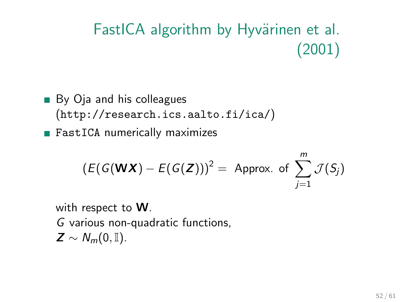# FastICA algorithm by Hyvärinen et al. (2001)

- By Oja and his colleagues (<http://research.ics.aalto.fi/ica/>)
- FastICA numerically maximizes

$$
(E(G(\mathbf{W}\mathbf{X}) - E(G(\mathbf{Z})))^{2} = \text{Approx. of } \sum_{j=1}^{m} \mathcal{J}(S_{j})
$$

with respect to W. G various non-quadratic functions,  $Z \sim N_m(0, \mathbb{I}).$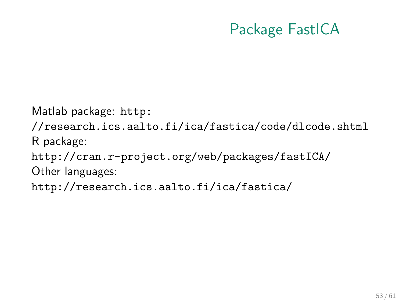## Package FastICA

Matlab package: [http:](http://research.ics.aalto.fi/ica/fastica/code/dlcode.shtml) [//research.ics.aalto.fi/ica/fastica/code/dlcode.shtml](http://research.ics.aalto.fi/ica/fastica/code/dlcode.shtml) R package: <http://cran.r-project.org/web/packages/fastICA/> Other languages: <http://research.ics.aalto.fi/ica/fastica/>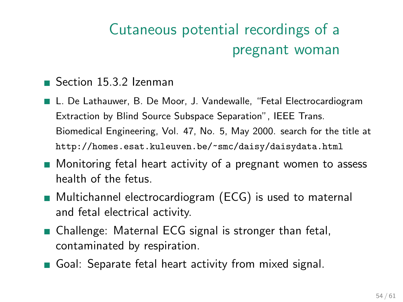# Cutaneous potential recordings of a pregnant woman

#### ■ Section 15.3.2 Izenman

- L. De Lathauwer, B. De Moor, J. Vandewalle, "Fetal Electrocardiogram Extraction by Blind Source Subspace Separation", IEEE Trans. Biomedical Engineering, Vol. 47, No. 5, May 2000. search for the title at <http://homes.esat.kuleuven.be/~smc/daisy/daisydata.html>
- **Monitoring fetal heart activity of a pregnant women to assess** health of the fetus.
- Multichannel electrocardiogram (ECG) is used to maternal and fetal electrical activity.
- Challenge: Maternal ECG signal is stronger than fetal, contaminated by respiration.
- Goal: Separate fetal heart activity from mixed signal.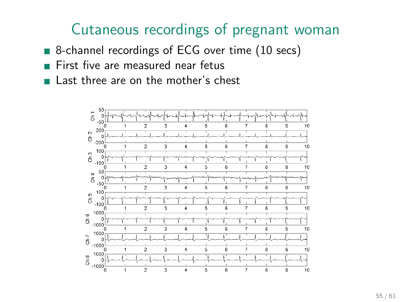## Cutaneous recordings of pregnant woman

- 8-channel recordings of ECG over time (10 secs)
- First five are measured near fetus
- Last three are on the mother's chest

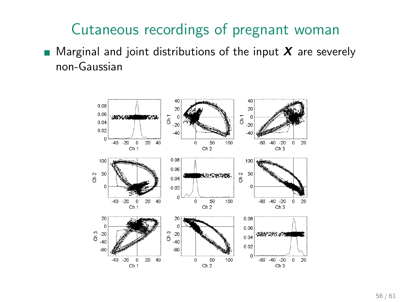## Cutaneous recordings of pregnant woman

**Marginal and joint distributions of the input X** are severely non-Gaussian

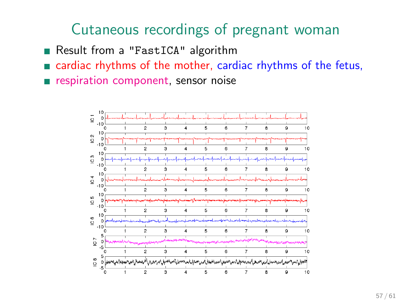## Cutaneous recordings of pregnant woman

Result from a "FastICA" algorithm

cardiac rhythms of the mother, cardiac rhythms of the fetus,

respiration component, sensor noise

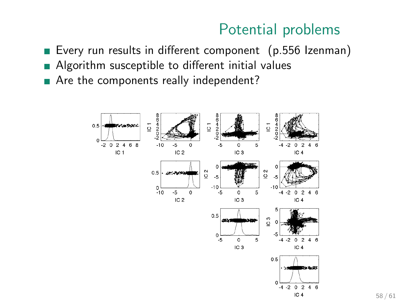#### Potential problems

- Every run results in different component (p.556 Izenman)
- Algorithm susceptible to different initial values
- Are the components really independent?

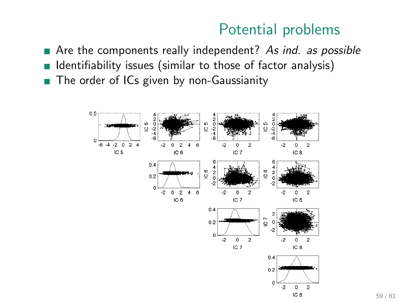#### Potential problems

- Are the components really independent? As *ind.* as possible
- Identifiability issues (similar to those of factor analysis)  $\mathcal{L}_{\mathcal{A}}$
- The order of ICs given by non-Gaussianity  $\overline{\phantom{a}}$

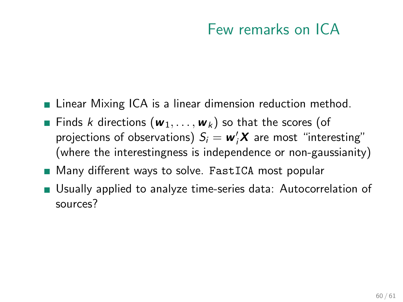## Few remarks on ICA

- **Example 21** Linear Mixing ICA is a linear dimension reduction method.
- **Finds k directions (** $w_1, \ldots, w_k$ **) so that the scores (of** projections of observations)  $S_i = \boldsymbol{w}_i' \boldsymbol{X}$  are most "interesting" (where the interestingness is independence or non-gaussianity)
- **Many different ways to solve. FastICA most popular**
- Usually applied to analyze time-series data: Autocorrelation of sources?